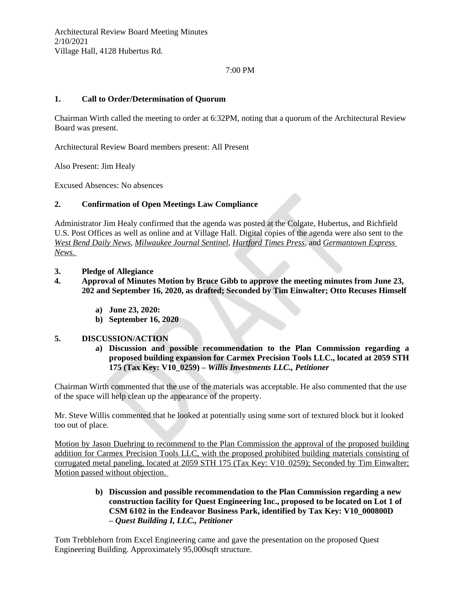# 7:00 PM

# **1. Call to Order/Determination of Quorum**

Chairman Wirth called the meeting to order at 6:32PM, noting that a quorum of the Architectural Review Board was present.

Architectural Review Board members present: All Present

Also Present: Jim Healy

Excused Absences: No absences

## **2. Confirmation of Open Meetings Law Compliance**

Administrator Jim Healy confirmed that the agenda was posted at the Colgate, Hubertus, and Richfield U.S. Post Offices as well as online and at Village Hall. Digital copies of the agenda were also sent to the *West Bend Daily News*, *Milwaukee Journal Sentinel*, *Hartford Times Press*, and *Germantown Express News.* 

#### **3. Pledge of Allegiance**

- **4. Approval of Minutes Motion by Bruce Gibb to approve the meeting minutes from June 23, 202 and September 16, 2020, as drafted; Seconded by Tim Einwalter; Otto Recuses Himself**
	- **a) June 23, 2020:**
	- **b) September 16, 2020**

## **5. DISCUSSION/ACTION**

**a) Discussion and possible recommendation to the Plan Commission regarding a proposed building expansion for Carmex Precision Tools LLC., located at 2059 STH 175 (Tax Key: V10\_0259) –** *Willis Investments LLC., Petitioner*

Chairman Wirth commented that the use of the materials was acceptable. He also commented that the use of the space will help clean up the appearance of the property.

Mr. Steve Willis commented that he looked at potentially using some sort of textured block but it looked too out of place.

Motion by Jason Duehring to recommend to the Plan Commission the approval of the proposed building addition for Carmex Precision Tools LLC, with the proposed prohibited building materials consisting of corrugated metal paneling, located at 2059 STH 175 (Tax Key: V10\_0259); Seconded by Tim Einwalter; Motion passed without objection.

# **b) Discussion and possible recommendation to the Plan Commission regarding a new construction facility for Quest Engineering Inc., proposed to be located on Lot 1 of CSM 6102 in the Endeavor Business Park, identified by Tax Key: V10\_000800D –** *Quest Building I, LLC., Petitioner*

Tom Trebblehorn from Excel Engineering came and gave the presentation on the proposed Quest Engineering Building. Approximately 95,000sqft structure.